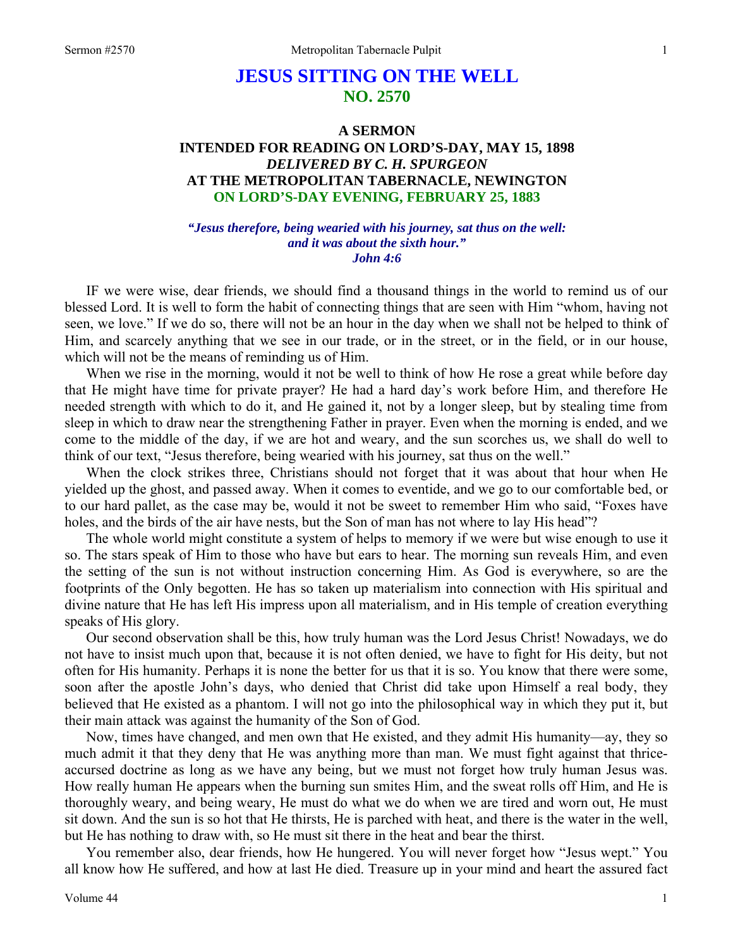# **JESUS SITTING ON THE WELL NO. 2570**

# **A SERMON INTENDED FOR READING ON LORD'S-DAY, MAY 15, 1898**  *DELIVERED BY C. H. SPURGEON*  **AT THE METROPOLITAN TABERNACLE, NEWINGTON ON LORD'S-DAY EVENING, FEBRUARY 25, 1883**

### *"Jesus therefore, being wearied with his journey, sat thus on the well: and it was about the sixth hour." John 4:6*

IF we were wise, dear friends, we should find a thousand things in the world to remind us of our blessed Lord. It is well to form the habit of connecting things that are seen with Him "whom, having not seen, we love." If we do so, there will not be an hour in the day when we shall not be helped to think of Him, and scarcely anything that we see in our trade, or in the street, or in the field, or in our house, which will not be the means of reminding us of Him.

When we rise in the morning, would it not be well to think of how He rose a great while before day that He might have time for private prayer? He had a hard day's work before Him, and therefore He needed strength with which to do it, and He gained it, not by a longer sleep, but by stealing time from sleep in which to draw near the strengthening Father in prayer. Even when the morning is ended, and we come to the middle of the day, if we are hot and weary, and the sun scorches us, we shall do well to think of our text, "Jesus therefore, being wearied with his journey, sat thus on the well."

When the clock strikes three, Christians should not forget that it was about that hour when He yielded up the ghost, and passed away. When it comes to eventide, and we go to our comfortable bed, or to our hard pallet, as the case may be, would it not be sweet to remember Him who said, "Foxes have holes, and the birds of the air have nests, but the Son of man has not where to lay His head"?

The whole world might constitute a system of helps to memory if we were but wise enough to use it so. The stars speak of Him to those who have but ears to hear. The morning sun reveals Him, and even the setting of the sun is not without instruction concerning Him. As God is everywhere, so are the footprints of the Only begotten. He has so taken up materialism into connection with His spiritual and divine nature that He has left His impress upon all materialism, and in His temple of creation everything speaks of His glory.

Our second observation shall be this, how truly human was the Lord Jesus Christ! Nowadays, we do not have to insist much upon that, because it is not often denied, we have to fight for His deity, but not often for His humanity. Perhaps it is none the better for us that it is so. You know that there were some, soon after the apostle John's days, who denied that Christ did take upon Himself a real body, they believed that He existed as a phantom. I will not go into the philosophical way in which they put it, but their main attack was against the humanity of the Son of God.

Now, times have changed, and men own that He existed, and they admit His humanity—ay, they so much admit it that they deny that He was anything more than man. We must fight against that thriceaccursed doctrine as long as we have any being, but we must not forget how truly human Jesus was. How really human He appears when the burning sun smites Him, and the sweat rolls off Him, and He is thoroughly weary, and being weary, He must do what we do when we are tired and worn out, He must sit down. And the sun is so hot that He thirsts, He is parched with heat, and there is the water in the well, but He has nothing to draw with, so He must sit there in the heat and bear the thirst.

You remember also, dear friends, how He hungered. You will never forget how "Jesus wept." You all know how He suffered, and how at last He died. Treasure up in your mind and heart the assured fact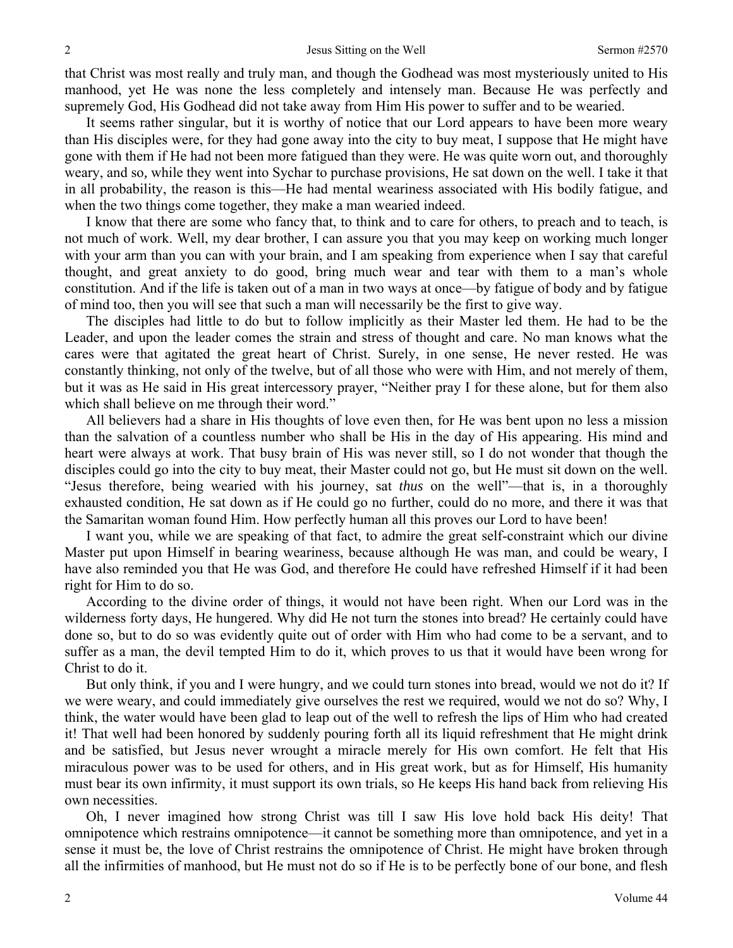that Christ was most really and truly man, and though the Godhead was most mysteriously united to His manhood, yet He was none the less completely and intensely man. Because He was perfectly and supremely God, His Godhead did not take away from Him His power to suffer and to be wearied.

It seems rather singular, but it is worthy of notice that our Lord appears to have been more weary than His disciples were, for they had gone away into the city to buy meat, I suppose that He might have gone with them if He had not been more fatigued than they were. He was quite worn out, and thoroughly weary, and so*,* while they went into Sychar to purchase provisions, He sat down on the well. I take it that in all probability, the reason is this—He had mental weariness associated with His bodily fatigue, and when the two things come together, they make a man wearied indeed.

I know that there are some who fancy that, to think and to care for others, to preach and to teach, is not much of work. Well, my dear brother, I can assure you that you may keep on working much longer with your arm than you can with your brain, and I am speaking from experience when I say that careful thought, and great anxiety to do good, bring much wear and tear with them to a man's whole constitution. And if the life is taken out of a man in two ways at once—by fatigue of body and by fatigue of mind too, then you will see that such a man will necessarily be the first to give way.

The disciples had little to do but to follow implicitly as their Master led them. He had to be the Leader, and upon the leader comes the strain and stress of thought and care. No man knows what the cares were that agitated the great heart of Christ. Surely, in one sense, He never rested. He was constantly thinking, not only of the twelve, but of all those who were with Him, and not merely of them, but it was as He said in His great intercessory prayer, "Neither pray I for these alone, but for them also which shall believe on me through their word."

All believers had a share in His thoughts of love even then, for He was bent upon no less a mission than the salvation of a countless number who shall be His in the day of His appearing. His mind and heart were always at work. That busy brain of His was never still, so I do not wonder that though the disciples could go into the city to buy meat, their Master could not go, but He must sit down on the well. "Jesus therefore, being wearied with his journey, sat *thus* on the well"—that is, in a thoroughly exhausted condition, He sat down as if He could go no further, could do no more, and there it was that the Samaritan woman found Him. How perfectly human all this proves our Lord to have been!

I want you, while we are speaking of that fact, to admire the great self-constraint which our divine Master put upon Himself in bearing weariness, because although He was man, and could be weary, I have also reminded you that He was God, and therefore He could have refreshed Himself if it had been right for Him to do so.

According to the divine order of things, it would not have been right. When our Lord was in the wilderness forty days, He hungered. Why did He not turn the stones into bread? He certainly could have done so, but to do so was evidently quite out of order with Him who had come to be a servant, and to suffer as a man, the devil tempted Him to do it, which proves to us that it would have been wrong for Christ to do it.

But only think, if you and I were hungry, and we could turn stones into bread, would we not do it? If we were weary, and could immediately give ourselves the rest we required, would we not do so? Why, I think, the water would have been glad to leap out of the well to refresh the lips of Him who had created it! That well had been honored by suddenly pouring forth all its liquid refreshment that He might drink and be satisfied, but Jesus never wrought a miracle merely for His own comfort. He felt that His miraculous power was to be used for others, and in His great work, but as for Himself, His humanity must bear its own infirmity, it must support its own trials, so He keeps His hand back from relieving His own necessities.

Oh, I never imagined how strong Christ was till I saw His love hold back His deity! That omnipotence which restrains omnipotence—it cannot be something more than omnipotence, and yet in a sense it must be, the love of Christ restrains the omnipotence of Christ. He might have broken through all the infirmities of manhood, but He must not do so if He is to be perfectly bone of our bone, and flesh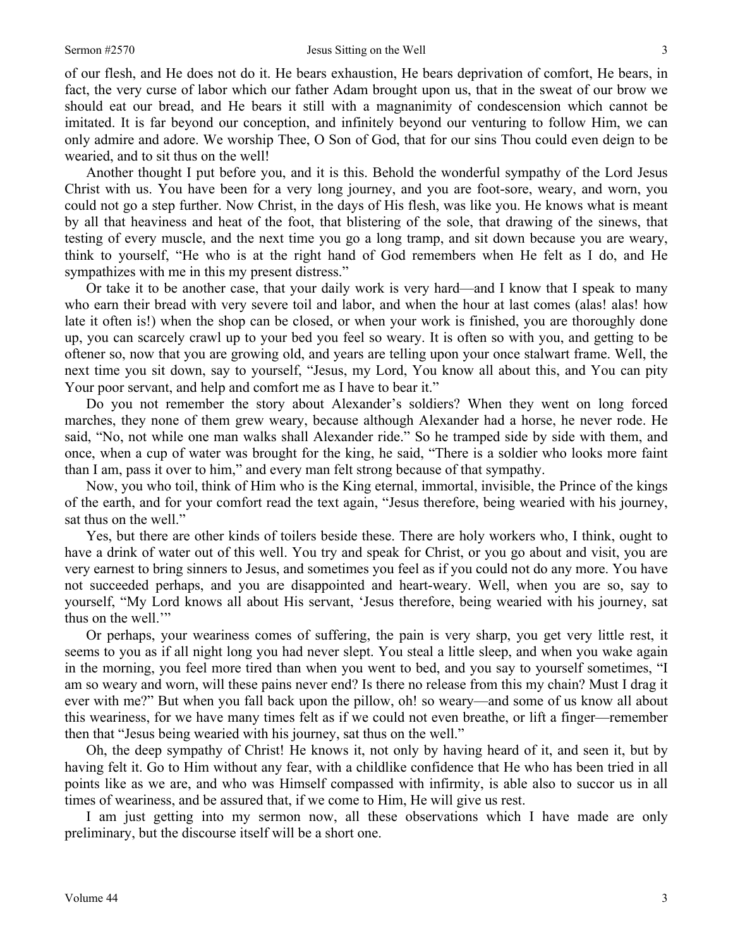of our flesh, and He does not do it. He bears exhaustion, He bears deprivation of comfort, He bears, in fact, the very curse of labor which our father Adam brought upon us, that in the sweat of our brow we should eat our bread, and He bears it still with a magnanimity of condescension which cannot be imitated. It is far beyond our conception, and infinitely beyond our venturing to follow Him, we can only admire and adore. We worship Thee, O Son of God, that for our sins Thou could even deign to be wearied, and to sit thus on the well!

Another thought I put before you, and it is this. Behold the wonderful sympathy of the Lord Jesus Christ with us. You have been for a very long journey, and you are foot-sore, weary, and worn, you could not go a step further. Now Christ, in the days of His flesh, was like you. He knows what is meant by all that heaviness and heat of the foot, that blistering of the sole, that drawing of the sinews, that testing of every muscle, and the next time you go a long tramp, and sit down because you are weary, think to yourself, "He who is at the right hand of God remembers when He felt as I do, and He sympathizes with me in this my present distress."

Or take it to be another case, that your daily work is very hard—and I know that I speak to many who earn their bread with very severe toil and labor, and when the hour at last comes (alas! alas! how late it often is!) when the shop can be closed, or when your work is finished, you are thoroughly done up, you can scarcely crawl up to your bed you feel so weary. It is often so with you, and getting to be oftener so, now that you are growing old, and years are telling upon your once stalwart frame. Well, the next time you sit down, say to yourself, "Jesus, my Lord, You know all about this, and You can pity Your poor servant, and help and comfort me as I have to bear it."

Do you not remember the story about Alexander's soldiers? When they went on long forced marches, they none of them grew weary, because although Alexander had a horse, he never rode. He said, "No, not while one man walks shall Alexander ride." So he tramped side by side with them, and once, when a cup of water was brought for the king, he said, "There is a soldier who looks more faint than I am, pass it over to him," and every man felt strong because of that sympathy.

Now, you who toil, think of Him who is the King eternal, immortal, invisible, the Prince of the kings of the earth, and for your comfort read the text again, "Jesus therefore, being wearied with his journey, sat thus on the well."

Yes, but there are other kinds of toilers beside these. There are holy workers who, I think, ought to have a drink of water out of this well. You try and speak for Christ, or you go about and visit, you are very earnest to bring sinners to Jesus, and sometimes you feel as if you could not do any more. You have not succeeded perhaps, and you are disappointed and heart-weary. Well, when you are so, say to yourself, "My Lord knows all about His servant, 'Jesus therefore, being wearied with his journey, sat thus on the well."

Or perhaps, your weariness comes of suffering, the pain is very sharp, you get very little rest, it seems to you as if all night long you had never slept. You steal a little sleep, and when you wake again in the morning, you feel more tired than when you went to bed, and you say to yourself sometimes, "I am so weary and worn, will these pains never end? Is there no release from this my chain? Must I drag it ever with me?" But when you fall back upon the pillow, oh! so weary—and some of us know all about this weariness, for we have many times felt as if we could not even breathe, or lift a finger—remember then that "Jesus being wearied with his journey, sat thus on the well."

Oh, the deep sympathy of Christ! He knows it, not only by having heard of it, and seen it, but by having felt it. Go to Him without any fear, with a childlike confidence that He who has been tried in all points like as we are, and who was Himself compassed with infirmity, is able also to succor us in all times of weariness, and be assured that, if we come to Him, He will give us rest.

I am just getting into my sermon now, all these observations which I have made are only preliminary, but the discourse itself will be a short one.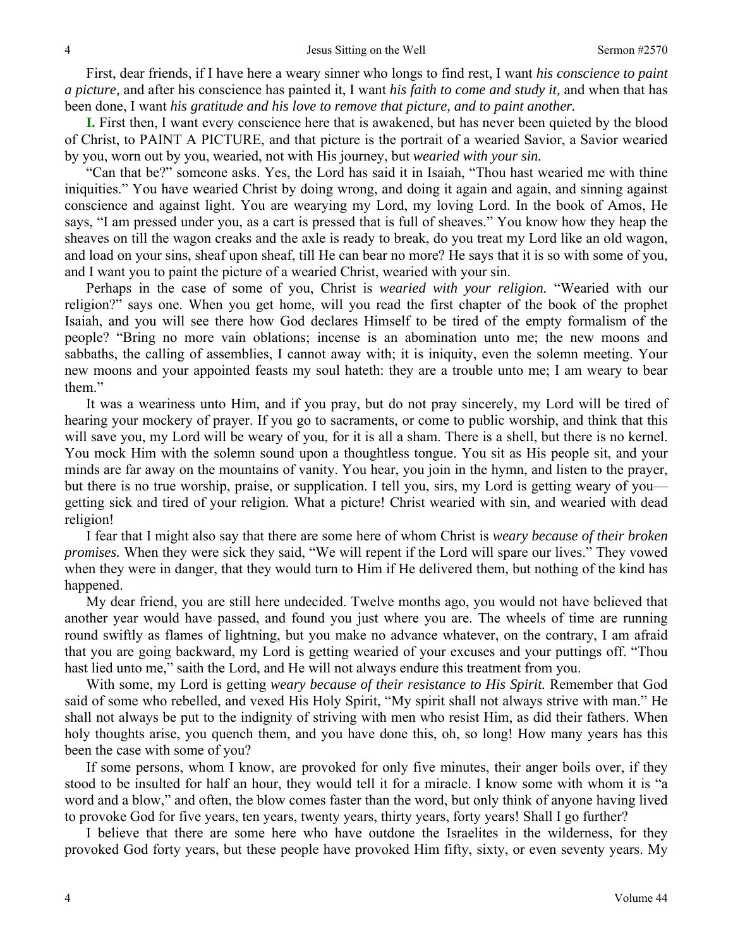First, dear friends, if I have here a weary sinner who longs to find rest, I want *his conscience to paint a picture,* and after his conscience has painted it, I want *his faith to come and study it,* and when that has been done, I want *his gratitude and his love to remove that picture, and to paint another.* 

**I.** First then, I want every conscience here that is awakened, but has never been quieted by the blood of Christ, to PAINT A PICTURE, and that picture is the portrait of a wearied Savior, a Savior wearied by you, worn out by you, wearied, not with His journey, but *wearied with your sin.* 

"Can that be?" someone asks. Yes, the Lord has said it in Isaiah, "Thou hast wearied me with thine iniquities." You have wearied Christ by doing wrong, and doing it again and again, and sinning against conscience and against light. You are wearying my Lord, my loving Lord. In the book of Amos, He says, "I am pressed under you, as a cart is pressed that is full of sheaves." You know how they heap the sheaves on till the wagon creaks and the axle is ready to break, do you treat my Lord like an old wagon, and load on your sins, sheaf upon sheaf, till He can bear no more? He says that it is so with some of you, and I want you to paint the picture of a wearied Christ, wearied with your sin.

Perhaps in the case of some of you, Christ is *wearied with your religion.* "Wearied with our religion?" says one. When you get home, will you read the first chapter of the book of the prophet Isaiah, and you will see there how God declares Himself to be tired of the empty formalism of the people? "Bring no more vain oblations; incense is an abomination unto me; the new moons and sabbaths, the calling of assemblies, I cannot away with; it is iniquity, even the solemn meeting. Your new moons and your appointed feasts my soul hateth: they are a trouble unto me; I am weary to bear them."

It was a weariness unto Him, and if you pray, but do not pray sincerely, my Lord will be tired of hearing your mockery of prayer. If you go to sacraments, or come to public worship, and think that this will save you, my Lord will be weary of you, for it is all a sham. There is a shell, but there is no kernel. You mock Him with the solemn sound upon a thoughtless tongue. You sit as His people sit, and your minds are far away on the mountains of vanity. You hear, you join in the hymn, and listen to the prayer, but there is no true worship, praise, or supplication. I tell you, sirs, my Lord is getting weary of you getting sick and tired of your religion. What a picture! Christ wearied with sin, and wearied with dead religion!

I fear that I might also say that there are some here of whom Christ is *weary because of their broken promises.* When they were sick they said, "We will repent if the Lord will spare our lives." They vowed when they were in danger, that they would turn to Him if He delivered them, but nothing of the kind has happened.

My dear friend, you are still here undecided. Twelve months ago, you would not have believed that another year would have passed, and found you just where you are. The wheels of time are running round swiftly as flames of lightning, but you make no advance whatever, on the contrary, I am afraid that you are going backward, my Lord is getting wearied of your excuses and your puttings off. "Thou hast lied unto me," saith the Lord, and He will not always endure this treatment from you.

With some, my Lord is getting *weary because of their resistance to His Spirit.* Remember that God said of some who rebelled, and vexed His Holy Spirit, "My spirit shall not always strive with man." He shall not always be put to the indignity of striving with men who resist Him, as did their fathers. When holy thoughts arise, you quench them, and you have done this, oh, so long! How many years has this been the case with some of you?

If some persons, whom I know, are provoked for only five minutes, their anger boils over, if they stood to be insulted for half an hour, they would tell it for a miracle. I know some with whom it is "a word and a blow," and often, the blow comes faster than the word, but only think of anyone having lived to provoke God for five years, ten years, twenty years, thirty years, forty years! Shall I go further?

I believe that there are some here who have outdone the Israelites in the wilderness, for they provoked God forty years, but these people have provoked Him fifty, sixty, or even seventy years. My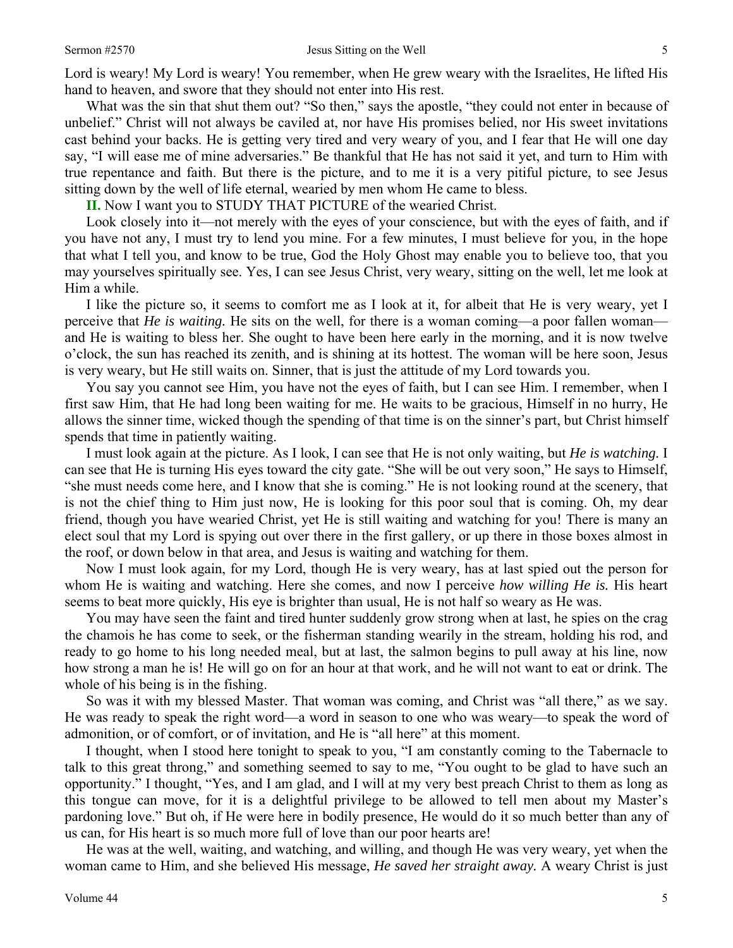Lord is weary! My Lord is weary! You remember, when He grew weary with the Israelites, He lifted His hand to heaven, and swore that they should not enter into His rest.

What was the sin that shut them out? "So then," says the apostle, "they could not enter in because of unbelief." Christ will not always be caviled at, nor have His promises belied, nor His sweet invitations cast behind your backs. He is getting very tired and very weary of you, and I fear that He will one day say, "I will ease me of mine adversaries." Be thankful that He has not said it yet, and turn to Him with true repentance and faith. But there is the picture, and to me it is a very pitiful picture, to see Jesus sitting down by the well of life eternal, wearied by men whom He came to bless.

**II.** Now I want you to STUDY THAT PICTURE of the wearied Christ.

Look closely into it—not merely with the eyes of your conscience, but with the eyes of faith, and if you have not any, I must try to lend you mine. For a few minutes, I must believe for you, in the hope that what I tell you, and know to be true, God the Holy Ghost may enable you to believe too, that you may yourselves spiritually see. Yes, I can see Jesus Christ, very weary, sitting on the well, let me look at Him a while.

I like the picture so, it seems to comfort me as I look at it, for albeit that He is very weary, yet I perceive that *He is waiting.* He sits on the well, for there is a woman coming—a poor fallen woman and He is waiting to bless her. She ought to have been here early in the morning, and it is now twelve o'clock, the sun has reached its zenith, and is shining at its hottest. The woman will be here soon, Jesus is very weary, but He still waits on. Sinner, that is just the attitude of my Lord towards you.

You say you cannot see Him, you have not the eyes of faith, but I can see Him. I remember, when I first saw Him, that He had long been waiting for me. He waits to be gracious, Himself in no hurry, He allows the sinner time, wicked though the spending of that time is on the sinner's part, but Christ himself spends that time in patiently waiting.

I must look again at the picture. As I look, I can see that He is not only waiting, but *He is watching.* I can see that He is turning His eyes toward the city gate. "She will be out very soon," He says to Himself, "she must needs come here, and I know that she is coming." He is not looking round at the scenery, that is not the chief thing to Him just now, He is looking for this poor soul that is coming. Oh, my dear friend, though you have wearied Christ, yet He is still waiting and watching for you! There is many an elect soul that my Lord is spying out over there in the first gallery, or up there in those boxes almost in the roof, or down below in that area, and Jesus is waiting and watching for them.

Now I must look again, for my Lord, though He is very weary, has at last spied out the person for whom He is waiting and watching. Here she comes, and now I perceive *how willing He is.* His heart seems to beat more quickly, His eye is brighter than usual, He is not half so weary as He was.

You may have seen the faint and tired hunter suddenly grow strong when at last, he spies on the crag the chamois he has come to seek, or the fisherman standing wearily in the stream, holding his rod, and ready to go home to his long needed meal, but at last, the salmon begins to pull away at his line, now how strong a man he is! He will go on for an hour at that work, and he will not want to eat or drink. The whole of his being is in the fishing.

So was it with my blessed Master. That woman was coming, and Christ was "all there," as we say. He was ready to speak the right word—a word in season to one who was weary—to speak the word of admonition, or of comfort, or of invitation, and He is "all here" at this moment.

I thought, when I stood here tonight to speak to you, "I am constantly coming to the Tabernacle to talk to this great throng," and something seemed to say to me, "You ought to be glad to have such an opportunity." I thought, "Yes, and I am glad, and I will at my very best preach Christ to them as long as this tongue can move, for it is a delightful privilege to be allowed to tell men about my Master's pardoning love." But oh, if He were here in bodily presence, He would do it so much better than any of us can, for His heart is so much more full of love than our poor hearts are!

He was at the well, waiting, and watching, and willing, and though He was very weary, yet when the woman came to Him, and she believed His message, *He saved her straight away.* A weary Christ is just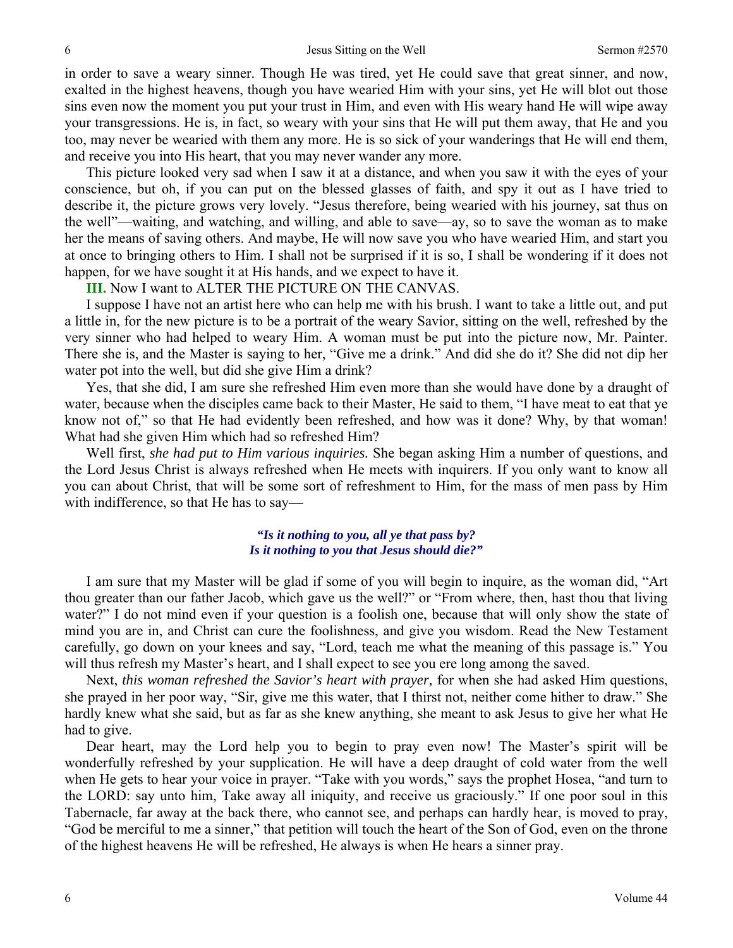in order to save a weary sinner. Though He was tired, yet He could save that great sinner, and now, exalted in the highest heavens, though you have wearied Him with your sins, yet He will blot out those sins even now the moment you put your trust in Him, and even with His weary hand He will wipe away your transgressions. He is, in fact, so weary with your sins that He will put them away, that He and you too, may never be wearied with them any more. He is so sick of your wanderings that He will end them, and receive you into His heart, that you may never wander any more.

This picture looked very sad when I saw it at a distance, and when you saw it with the eyes of your conscience, but oh, if you can put on the blessed glasses of faith, and spy it out as I have tried to describe it, the picture grows very lovely. "Jesus therefore, being wearied with his journey, sat thus on the well"—waiting, and watching, and willing, and able to save—ay, so to save the woman as to make her the means of saving others. And maybe, He will now save you who have wearied Him, and start you at once to bringing others to Him. I shall not be surprised if it is so, I shall be wondering if it does not happen, for we have sought it at His hands, and we expect to have it.

#### **III.** Now I want to ALTER THE PICTURE ON THE CANVAS.

I suppose I have not an artist here who can help me with his brush. I want to take a little out, and put a little in, for the new picture is to be a portrait of the weary Savior, sitting on the well, refreshed by the very sinner who had helped to weary Him. A woman must be put into the picture now, Mr. Painter. There she is, and the Master is saying to her, "Give me a drink." And did she do it? She did not dip her water pot into the well, but did she give Him a drink?

Yes, that she did, I am sure she refreshed Him even more than she would have done by a draught of water, because when the disciples came back to their Master, He said to them, "I have meat to eat that ye know not of," so that He had evidently been refreshed, and how was it done? Why, by that woman! What had she given Him which had so refreshed Him?

Well first, *she had put to Him various inquiries.* She began asking Him a number of questions, and the Lord Jesus Christ is always refreshed when He meets with inquirers. If you only want to know all you can about Christ, that will be some sort of refreshment to Him, for the mass of men pass by Him with indifference, so that He has to say—

# *"Is it nothing to you, all ye that pass by? Is it nothing to you that Jesus should die?"*

I am sure that my Master will be glad if some of you will begin to inquire, as the woman did, "Art thou greater than our father Jacob, which gave us the well?" or "From where, then, hast thou that living water?" I do not mind even if your question is a foolish one, because that will only show the state of mind you are in, and Christ can cure the foolishness, and give you wisdom. Read the New Testament carefully, go down on your knees and say, "Lord, teach me what the meaning of this passage is." You will thus refresh my Master's heart, and I shall expect to see you ere long among the saved.

Next, *this woman refreshed the Savior's heart with prayer,* for when she had asked Him questions, she prayed in her poor way, "Sir, give me this water, that I thirst not, neither come hither to draw." She hardly knew what she said, but as far as she knew anything, she meant to ask Jesus to give her what He had to give.

Dear heart, may the Lord help you to begin to pray even now! The Master's spirit will be wonderfully refreshed by your supplication. He will have a deep draught of cold water from the well when He gets to hear your voice in prayer. "Take with you words," says the prophet Hosea, "and turn to the LORD: say unto him, Take away all iniquity, and receive us graciously." If one poor soul in this Tabernacle, far away at the back there, who cannot see, and perhaps can hardly hear, is moved to pray, "God be merciful to me a sinner," that petition will touch the heart of the Son of God, even on the throne of the highest heavens He will be refreshed, He always is when He hears a sinner pray.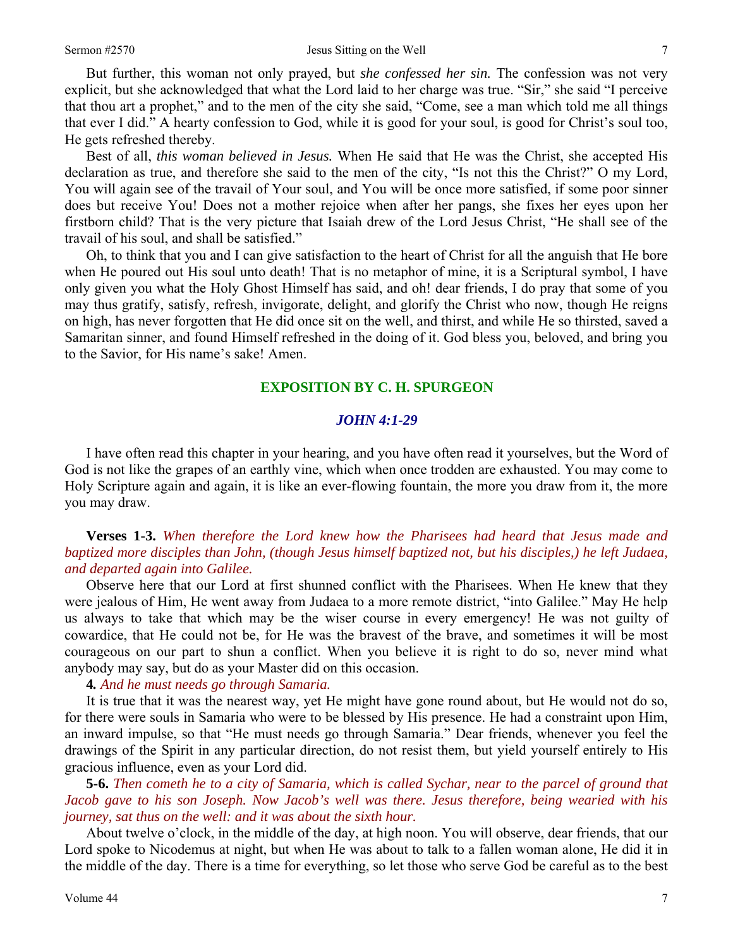But further, this woman not only prayed, but *she confessed her sin.* The confession was not very explicit, but she acknowledged that what the Lord laid to her charge was true. "Sir," she said "I perceive that thou art a prophet," and to the men of the city she said, "Come, see a man which told me all things that ever I did." A hearty confession to God, while it is good for your soul, is good for Christ's soul too, He gets refreshed thereby.

Best of all, *this woman believed in Jesus.* When He said that He was the Christ, she accepted His declaration as true, and therefore she said to the men of the city, "Is not this the Christ?" O my Lord, You will again see of the travail of Your soul, and You will be once more satisfied, if some poor sinner does but receive You! Does not a mother rejoice when after her pangs, she fixes her eyes upon her firstborn child? That is the very picture that Isaiah drew of the Lord Jesus Christ, "He shall see of the travail of his soul, and shall be satisfied."

Oh, to think that you and I can give satisfaction to the heart of Christ for all the anguish that He bore when He poured out His soul unto death! That is no metaphor of mine, it is a Scriptural symbol, I have only given you what the Holy Ghost Himself has said, and oh! dear friends, I do pray that some of you may thus gratify, satisfy, refresh, invigorate, delight, and glorify the Christ who now, though He reigns on high, has never forgotten that He did once sit on the well, and thirst, and while He so thirsted, saved a Samaritan sinner, and found Himself refreshed in the doing of it. God bless you, beloved, and bring you to the Savior, for His name's sake! Amen.

### **EXPOSITION BY C. H. SPURGEON**

### *JOHN 4:1-29*

I have often read this chapter in your hearing, and you have often read it yourselves, but the Word of God is not like the grapes of an earthly vine, which when once trodden are exhausted. You may come to Holy Scripture again and again, it is like an ever-flowing fountain, the more you draw from it, the more you may draw.

# **Verses 1-3.** *When therefore the Lord knew how the Pharisees had heard that Jesus made and baptized more disciples than John, (though Jesus himself baptized not, but his disciples,) he left Judaea, and departed again into Galilee.*

Observe here that our Lord at first shunned conflict with the Pharisees. When He knew that they were jealous of Him, He went away from Judaea to a more remote district, "into Galilee." May He help us always to take that which may be the wiser course in every emergency! He was not guilty of cowardice, that He could not be, for He was the bravest of the brave, and sometimes it will be most courageous on our part to shun a conflict. When you believe it is right to do so, never mind what anybody may say, but do as your Master did on this occasion.

# **4***. And he must needs go through Samaria.*

It is true that it was the nearest way, yet He might have gone round about, but He would not do so, for there were souls in Samaria who were to be blessed by His presence. He had a constraint upon Him, an inward impulse, so that "He must needs go through Samaria." Dear friends, whenever you feel the drawings of the Spirit in any particular direction, do not resist them, but yield yourself entirely to His gracious influence, even as your Lord did.

**5-6.** *Then cometh he to a city of Samaria, which is called Sychar, near to the parcel of ground that Jacob gave to his son Joseph. Now Jacob's well was there. Jesus therefore, being wearied with his journey, sat thus on the well: and it was about the sixth hour.* 

About twelve o'clock, in the middle of the day, at high noon. You will observe, dear friends, that our Lord spoke to Nicodemus at night, but when He was about to talk to a fallen woman alone, He did it in the middle of the day. There is a time for everything, so let those who serve God be careful as to the best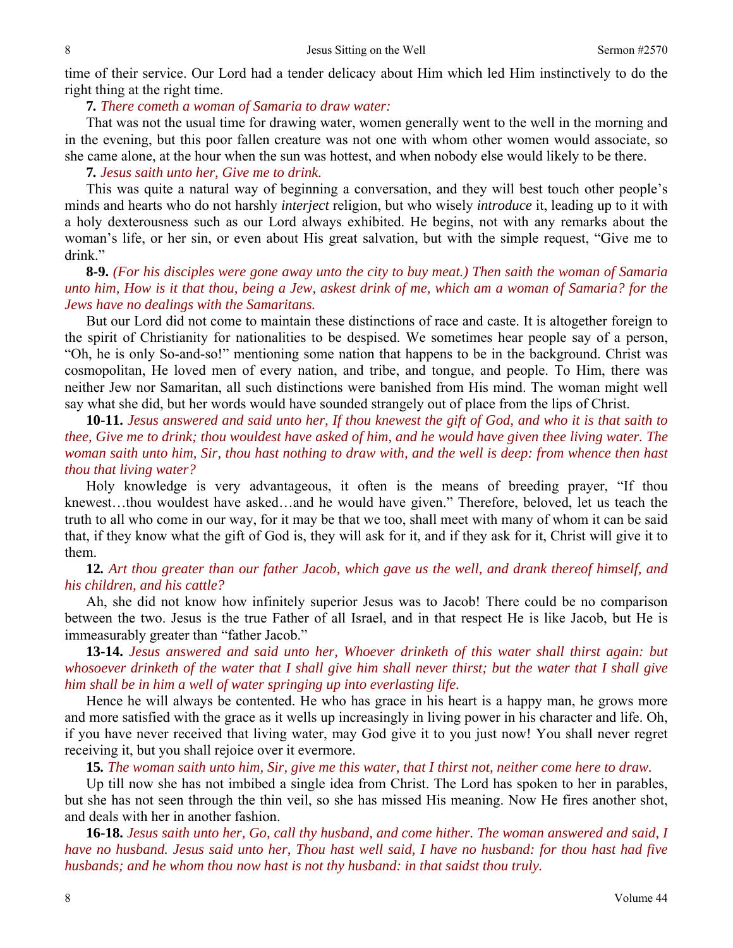time of their service. Our Lord had a tender delicacy about Him which led Him instinctively to do the right thing at the right time.

**7***. There cometh a woman of Samaria to draw water:* 

That was not the usual time for drawing water, women generally went to the well in the morning and in the evening, but this poor fallen creature was not one with whom other women would associate, so she came alone, at the hour when the sun was hottest, and when nobody else would likely to be there.

# **7***. Jesus saith unto her, Give me to drink.*

This was quite a natural way of beginning a conversation, and they will best touch other people's minds and hearts who do not harshly *interject* religion, but who wisely *introduce* it, leading up to it with a holy dexterousness such as our Lord always exhibited. He begins, not with any remarks about the woman's life, or her sin, or even about His great salvation, but with the simple request, "Give me to drink."

# **8-9.** *(For his disciples were gone away unto the city to buy meat.) Then saith the woman of Samaria unto him, How is it that thou, being a Jew, askest drink of me, which am a woman of Samaria? for the Jews have no dealings with the Samaritans.*

But our Lord did not come to maintain these distinctions of race and caste. It is altogether foreign to the spirit of Christianity for nationalities to be despised. We sometimes hear people say of a person, "Oh, he is only So-and-so!" mentioning some nation that happens to be in the background. Christ was cosmopolitan, He loved men of every nation, and tribe, and tongue, and people. To Him, there was neither Jew nor Samaritan, all such distinctions were banished from His mind. The woman might well say what she did, but her words would have sounded strangely out of place from the lips of Christ.

**10-11.** *Jesus answered and said unto her, If thou knewest the gift of God, and who it is that saith to thee, Give me to drink; thou wouldest have asked of him, and he would have given thee living water. The woman saith unto him, Sir, thou hast nothing to draw with, and the well is deep: from whence then hast thou that living water?* 

Holy knowledge is very advantageous, it often is the means of breeding prayer, "If thou knewest…thou wouldest have asked…and he would have given." Therefore, beloved, let us teach the truth to all who come in our way, for it may be that we too, shall meet with many of whom it can be said that, if they know what the gift of God is, they will ask for it, and if they ask for it, Christ will give it to them.

# **12***. Art thou greater than our father Jacob, which gave us the well, and drank thereof himself, and his children, and his cattle?*

Ah, she did not know how infinitely superior Jesus was to Jacob! There could be no comparison between the two. Jesus is the true Father of all Israel, and in that respect He is like Jacob, but He is immeasurably greater than "father Jacob."

**13-14.** *Jesus answered and said unto her, Whoever drinketh of this water shall thirst again: but whosoever drinketh of the water that I shall give him shall never thirst; but the water that I shall give him shall be in him a well of water springing up into everlasting life.* 

Hence he will always be contented. He who has grace in his heart is a happy man, he grows more and more satisfied with the grace as it wells up increasingly in living power in his character and life. Oh, if you have never received that living water, may God give it to you just now! You shall never regret receiving it, but you shall rejoice over it evermore.

**15***. The woman saith unto him, Sir, give me this water, that I thirst not, neither come here to draw.* 

Up till now she has not imbibed a single idea from Christ. The Lord has spoken to her in parables, but she has not seen through the thin veil, so she has missed His meaning. Now He fires another shot, and deals with her in another fashion.

**16-18.** *Jesus saith unto her, Go, call thy husband, and come hither. The woman answered and said, I have no husband. Jesus said unto her, Thou hast well said, I have no husband: for thou hast had five husbands; and he whom thou now hast is not thy husband: in that saidst thou truly.*